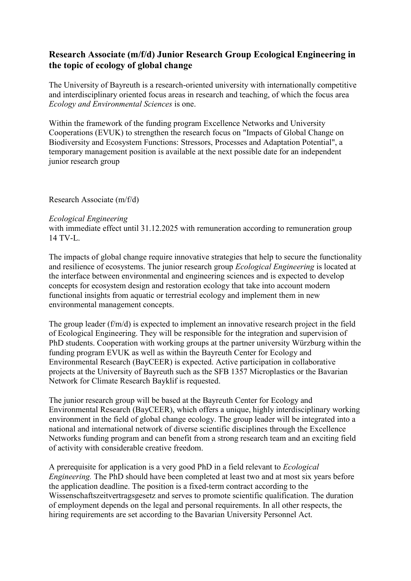## **Research Associate (m/f/d) Junior Research Group Ecological Engineering in the topic of ecology of global change**

The University of Bayreuth is a research-oriented university with internationally competitive and interdisciplinary oriented focus areas in research and teaching, of which the focus area *Ecology and Environmental Sciences* is one.

Within the framework of the funding program Excellence Networks and University Cooperations (EVUK) to strengthen the research focus on "Impacts of Global Change on Biodiversity and Ecosystem Functions: Stressors, Processes and Adaptation Potential", a temporary management position is available at the next possible date for an independent junior research group

Research Associate (m/f/d)

## *Ecological Engineering*

with immediate effect until 31.12.2025 with remuneration according to remuneration group 14 TV-L.

The impacts of global change require innovative strategies that help to secure the functionality and resilience of ecosystems. The junior research group *Ecological Engineering* is located at the interface between environmental and engineering sciences and is expected to develop concepts for ecosystem design and restoration ecology that take into account modern functional insights from aquatic or terrestrial ecology and implement them in new environmental management concepts.

The group leader (f/m/d) is expected to implement an innovative research project in the field of Ecological Engineering. They will be responsible for the integration and supervision of PhD students. Cooperation with working groups at the partner university Würzburg within the funding program EVUK as well as within the Bayreuth Center for Ecology and Environmental Research (BayCEER) is expected. Active participation in collaborative projects at the University of Bayreuth such as the SFB 1357 Microplastics or the Bavarian Network for Climate Research Bayklif is requested.

The junior research group will be based at the Bayreuth Center for Ecology and Environmental Research (BayCEER), which offers a unique, highly interdisciplinary working environment in the field of global change ecology. The group leader will be integrated into a national and international network of diverse scientific disciplines through the Excellence Networks funding program and can benefit from a strong research team and an exciting field of activity with considerable creative freedom.

A prerequisite for application is a very good PhD in a field relevant to *Ecological Engineering.* The PhD should have been completed at least two and at most six years before the application deadline. The position is a fixed-term contract according to the Wissenschaftszeitvertragsgesetz and serves to promote scientific qualification. The duration of employment depends on the legal and personal requirements. In all other respects, the hiring requirements are set according to the Bavarian University Personnel Act.